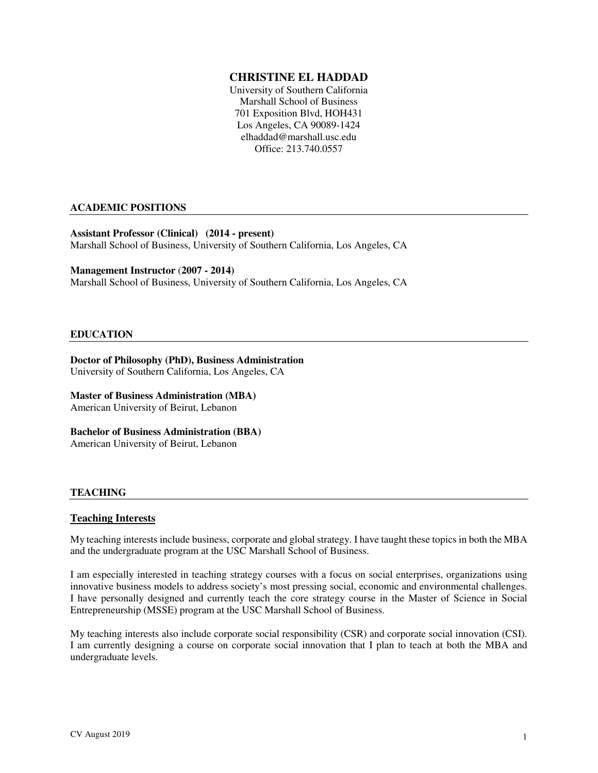# **CHRISTINE EL HADDAD**

University of Southern California Marshall School of Business 701 Exposition Blvd, HOH431 Los Angeles, CA 90089-1424 elhaddad@marshall.usc.edu Office: 213.740.0557

# **ACADEMIC POSITIONS**

**Assistant Professor (Clinical) (2014 - present)** 

Marshall School of Business, University of Southern California, Los Angeles, CA

## **Management Instructor** (**2007 - 2014)**

Marshall School of Business, University of Southern California, Los Angeles, CA

#### **EDUCATION**

#### **Doctor of Philosophy (PhD), Business Administration**  University of Southern California, Los Angeles, CA

**Master of Business Administration (MBA)**  American University of Beirut, Lebanon

**Bachelor of Business Administration (BBA)**  American University of Beirut, Lebanon

## **TEACHING**

## **Teaching Interests**

My teaching interests include business, corporate and global strategy. I have taught these topics in both the MBA and the undergraduate program at the USC Marshall School of Business.

I am especially interested in teaching strategy courses with a focus on social enterprises, organizations using innovative business models to address society's most pressing social, economic and environmental challenges. I have personally designed and currently teach the core strategy course in the Master of Science in Social Entrepreneurship (MSSE) program at the USC Marshall School of Business.

My teaching interests also include corporate social responsibility (CSR) and corporate social innovation (CSI). I am currently designing a course on corporate social innovation that I plan to teach at both the MBA and undergraduate levels.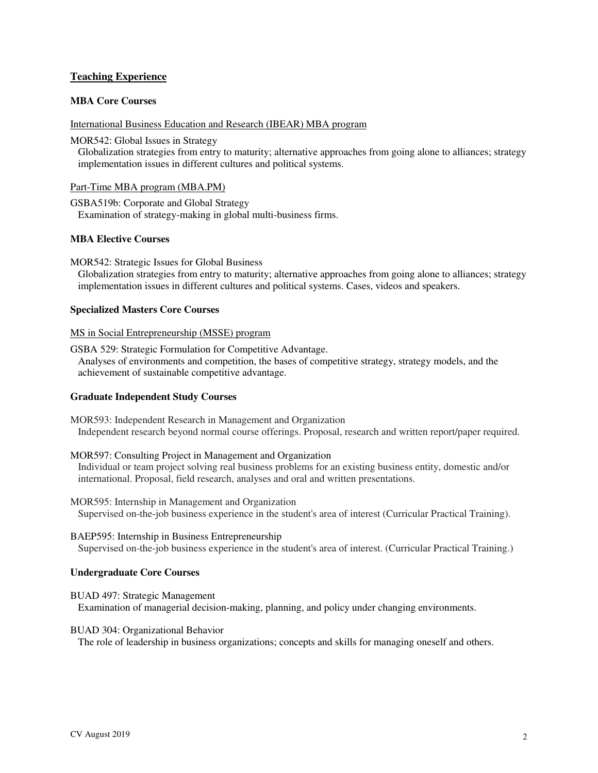# **Teaching Experience**

## **MBA Core Courses**

#### International Business Education and Research (IBEAR) MBA program

MOR542: Global Issues in Strategy

 Globalization strategies from entry to maturity; alternative approaches from going alone to alliances; strategy implementation issues in different cultures and political systems.

#### Part-Time MBA program (MBA.PM)

GSBA519b: Corporate and Global Strategy Examination of strategy-making in global multi-business firms.

## **MBA Elective Courses**

MOR542: Strategic Issues for Global Business

 Globalization strategies from entry to maturity; alternative approaches from going alone to alliances; strategy implementation issues in different cultures and political systems. Cases, videos and speakers.

## **Specialized Masters Core Courses**

#### MS in Social Entrepreneurship (MSSE) program

GSBA 529: Strategic Formulation for Competitive Advantage. Analyses of environments and competition, the bases of competitive strategy, strategy models, and the achievement of sustainable competitive advantage.

#### **Graduate Independent Study Courses**

MOR593: Independent Research in Management and Organization Independent research beyond normal course offerings. Proposal, research and written report/paper required.

#### MOR597: Consulting Project in Management and Organization

 Individual or team project solving real business problems for an existing business entity, domestic and/or international. Proposal, field research, analyses and oral and written presentations.

MOR595: Internship in Management and Organization Supervised on-the-job business experience in the student's area of interest (Curricular Practical Training).

#### BAEP595: Internship in Business Entrepreneurship

Supervised on-the-job business experience in the student's area of interest. (Curricular Practical Training.)

## **Undergraduate Core Courses**

BUAD 497: Strategic Management Examination of managerial decision-making, planning, and policy under changing environments.

#### BUAD 304: Organizational Behavior

The role of leadership in business organizations; concepts and skills for managing oneself and others.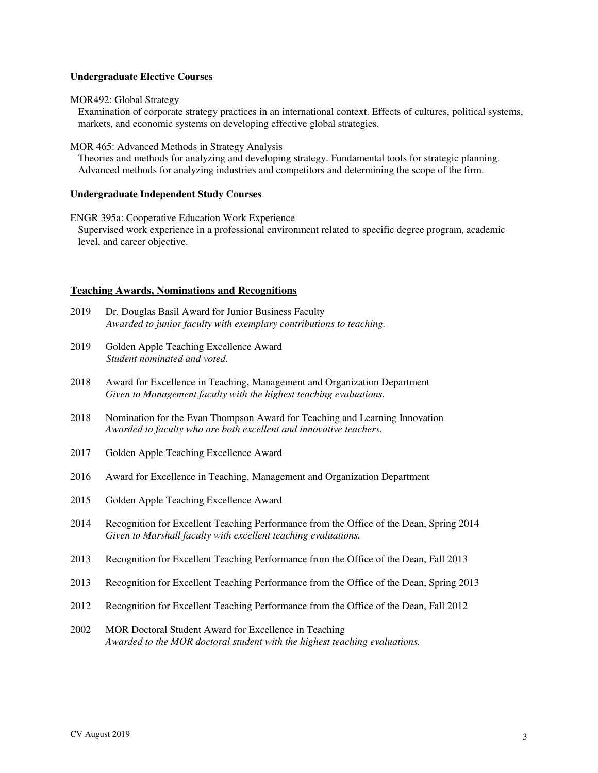#### **Undergraduate Elective Courses**

#### MOR492: Global Strategy

 Examination of corporate strategy practices in an international context. Effects of cultures, political systems, markets, and economic systems on developing effective global strategies.

MOR 465: Advanced Methods in Strategy Analysis

 Theories and methods for analyzing and developing strategy. Fundamental tools for strategic planning. Advanced methods for analyzing industries and competitors and determining the scope of the firm.

#### **Undergraduate Independent Study Courses**

ENGR 395a: Cooperative Education Work Experience

 Supervised work experience in a professional environment related to specific degree program, academic level, and career objective.

#### **Teaching Awards, Nominations and Recognitions**

- 2019 Dr. Douglas Basil Award for Junior Business Faculty *Awarded to junior faculty with exemplary contributions to teaching.*
- 2019 Golden Apple Teaching Excellence Award  *Student nominated and voted.*
- 2018 Award for Excellence in Teaching, Management and Organization Department *Given to Management faculty with the highest teaching evaluations.*
- 2018 Nomination for the Evan Thompson Award for Teaching and Learning Innovation *Awarded to faculty who are both excellent and innovative teachers.*
- 2017 Golden Apple Teaching Excellence Award
- 2016 Award for Excellence in Teaching, Management and Organization Department
- 2015 Golden Apple Teaching Excellence Award
- 2014 Recognition for Excellent Teaching Performance from the Office of the Dean, Spring 2014 *Given to Marshall faculty with excellent teaching evaluations.*
- 2013 Recognition for Excellent Teaching Performance from the Office of the Dean, Fall 2013
- 2013 Recognition for Excellent Teaching Performance from the Office of the Dean, Spring 2013
- 2012 Recognition for Excellent Teaching Performance from the Office of the Dean, Fall 2012
- 2002 MOR Doctoral Student Award for Excellence in Teaching *Awarded to the MOR doctoral student with the highest teaching evaluations.*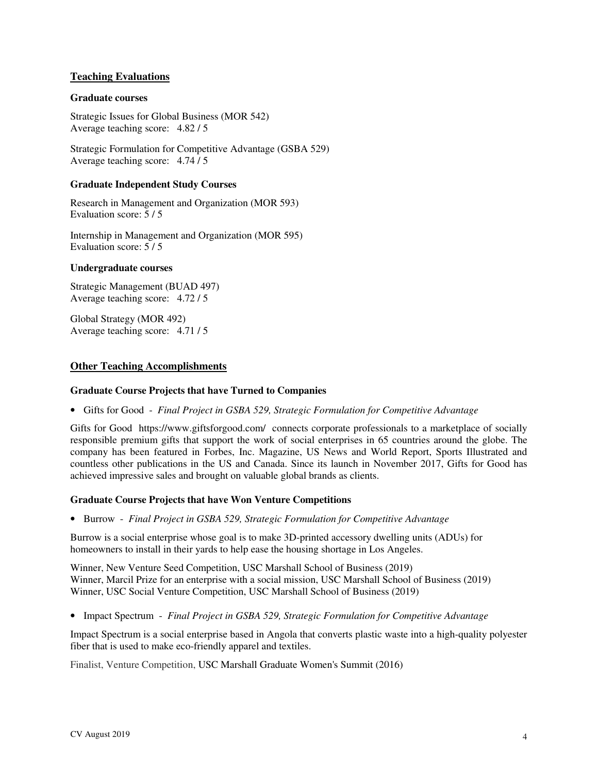# **Teaching Evaluations**

#### **Graduate courses**

Strategic Issues for Global Business (MOR 542) Average teaching score: 4.82 / 5

Strategic Formulation for Competitive Advantage (GSBA 529) Average teaching score: 4.74 / 5

#### **Graduate Independent Study Courses**

Research in Management and Organization (MOR 593) Evaluation score: 5 / 5

Internship in Management and Organization (MOR 595) Evaluation score: 5 / 5

#### **Undergraduate courses**

Strategic Management (BUAD 497) Average teaching score: 4.72 / 5

Global Strategy (MOR 492) Average teaching score: 4.71 / 5

## **Other Teaching Accomplishments**

#### **Graduate Course Projects that have Turned to Companies**

• Gifts for Good - *Final Project in GSBA 529, Strategic Formulation for Competitive Advantage*

Gifts for Good https://www.giftsforgood.com/ connects corporate professionals to a marketplace of socially responsible premium gifts that support the work of social enterprises in 65 countries around the globe. The company has been featured in Forbes, Inc. Magazine, US News and World Report, Sports Illustrated and countless other publications in the US and Canada. Since its launch in November 2017, Gifts for Good has achieved impressive sales and brought on valuable global brands as clients.

## **Graduate Course Projects that have Won Venture Competitions**

• Burrow - *Final Project in GSBA 529, Strategic Formulation for Competitive Advantage*

Burrow is a social enterprise whose goal is to make 3D-printed accessory dwelling units (ADUs) for homeowners to install in their yards to help ease the housing shortage in Los Angeles.

Winner, New Venture Seed Competition, USC Marshall School of Business (2019) Winner, Marcil Prize for an enterprise with a social mission, USC Marshall School of Business (2019) Winner, USC Social Venture Competition, USC Marshall School of Business (2019)

• Impact Spectrum - *Final Project in GSBA 529, Strategic Formulation for Competitive Advantage*

Impact Spectrum is a social enterprise based in Angola that converts plastic waste into a high-quality polyester fiber that is used to make eco-friendly apparel and textiles.

Finalist, Venture Competition, USC Marshall Graduate Women's Summit (2016)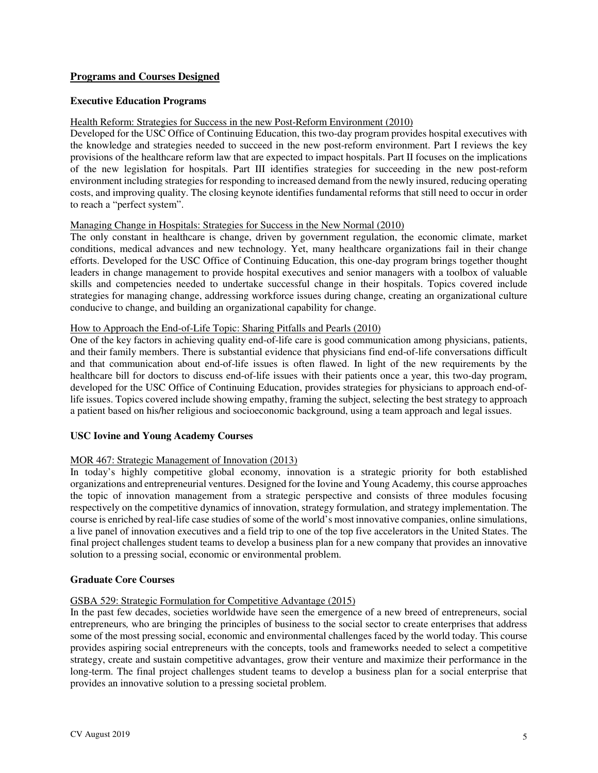# **Programs and Courses Designed**

# **Executive Education Programs**

## Health Reform: Strategies for Success in the new Post-Reform Environment (2010)

Developed for the USC Office of Continuing Education, this two-day program provides hospital executives with the knowledge and strategies needed to succeed in the new post-reform environment. Part I reviews the key provisions of the healthcare reform law that are expected to impact hospitals. Part II focuses on the implications of the new legislation for hospitals. Part III identifies strategies for succeeding in the new post-reform environment including strategies for responding to increased demand from the newly insured, reducing operating costs, and improving quality. The closing keynote identifies fundamental reforms that still need to occur in order to reach a "perfect system".

# Managing Change in Hospitals: Strategies for Success in the New Normal (2010)

The only constant in healthcare is change, driven by government regulation, the economic climate, market conditions, medical advances and new technology. Yet, many healthcare organizations fail in their change efforts. Developed for the USC Office of Continuing Education, this one-day program brings together thought leaders in change management to provide hospital executives and senior managers with a toolbox of valuable skills and competencies needed to undertake successful change in their hospitals. Topics covered include strategies for managing change, addressing workforce issues during change, creating an organizational culture conducive to change, and building an organizational capability for change.

## How to Approach the End-of-Life Topic: Sharing Pitfalls and Pearls (2010)

One of the key factors in achieving quality end-of-life care is good communication among physicians, patients, and their family members. There is substantial evidence that physicians find end-of-life conversations difficult and that communication about end-of-life issues is often flawed. In light of the new requirements by the healthcare bill for doctors to discuss end-of-life issues with their patients once a year, this two-day program, developed for the USC Office of Continuing Education, provides strategies for physicians to approach end-oflife issues. Topics covered include showing empathy, framing the subject, selecting the best strategy to approach a patient based on his/her religious and socioeconomic background, using a team approach and legal issues.

## **USC Iovine and Young Academy Courses**

# MOR 467: Strategic Management of Innovation (2013)

In today's highly competitive global economy, innovation is a strategic priority for both established organizations and entrepreneurial ventures. Designed for the Iovine and Young Academy, this course approaches the topic of innovation management from a strategic perspective and consists of three modules focusing respectively on the competitive dynamics of innovation, strategy formulation, and strategy implementation. The course is enriched by real-life case studies of some of the world's most innovative companies, online simulations, a live panel of innovation executives and a field trip to one of the top five accelerators in the United States. The final project challenges student teams to develop a business plan for a new company that provides an innovative solution to a pressing social, economic or environmental problem.

## **Graduate Core Courses**

# GSBA 529: Strategic Formulation for Competitive Advantage (2015)

In the past few decades, societies worldwide have seen the emergence of a new breed of entrepreneurs, social entrepreneurs*,* who are bringing the principles of business to the social sector to create enterprises that address some of the most pressing social, economic and environmental challenges faced by the world today. This course provides aspiring social entrepreneurs with the concepts, tools and frameworks needed to select a competitive strategy, create and sustain competitive advantages, grow their venture and maximize their performance in the long-term. The final project challenges student teams to develop a business plan for a social enterprise that provides an innovative solution to a pressing societal problem.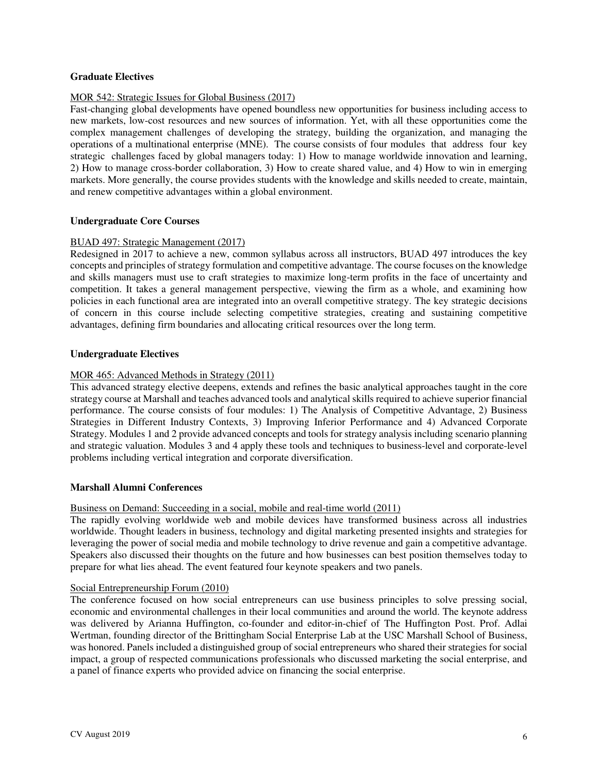## **Graduate Electives**

# MOR 542: Strategic Issues for Global Business (2017)

Fast-changing global developments have opened boundless new opportunities for business including access to new markets, low-cost resources and new sources of information. Yet, with all these opportunities come the complex management challenges of developing the strategy, building the organization, and managing the operations of a multinational enterprise (MNE). The course consists of four modules that address four key strategic challenges faced by global managers today: 1) How to manage worldwide innovation and learning, 2) How to manage cross-border collaboration, 3) How to create shared value, and 4) How to win in emerging markets. More generally, the course provides students with the knowledge and skills needed to create, maintain, and renew competitive advantages within a global environment.

## **Undergraduate Core Courses**

# BUAD 497: Strategic Management (2017)

Redesigned in 2017 to achieve a new, common syllabus across all instructors, BUAD 497 introduces the key concepts and principles of strategy formulation and competitive advantage. The course focuses on the knowledge and skills managers must use to craft strategies to maximize long-term profits in the face of uncertainty and competition. It takes a general management perspective, viewing the firm as a whole, and examining how policies in each functional area are integrated into an overall competitive strategy. The key strategic decisions of concern in this course include selecting competitive strategies, creating and sustaining competitive advantages, defining firm boundaries and allocating critical resources over the long term.

# **Undergraduate Electives**

## MOR 465: Advanced Methods in Strategy (2011)

This advanced strategy elective deepens, extends and refines the basic analytical approaches taught in the core strategy course at Marshall and teaches advanced tools and analytical skills required to achieve superior financial performance. The course consists of four modules: 1) The Analysis of Competitive Advantage, 2) Business Strategies in Different Industry Contexts, 3) Improving Inferior Performance and 4) Advanced Corporate Strategy. Modules 1 and 2 provide advanced concepts and tools for strategy analysis including scenario planning and strategic valuation. Modules 3 and 4 apply these tools and techniques to business-level and corporate-level problems including vertical integration and corporate diversification.

## **Marshall Alumni Conferences**

## Business on Demand: Succeeding in a social, mobile and real-time world (2011)

The rapidly evolving worldwide web and mobile devices have transformed business across all industries worldwide. Thought leaders in business, technology and digital marketing presented insights and strategies for leveraging the power of social media and mobile technology to drive revenue and gain a competitive advantage. Speakers also discussed their thoughts on the future and how businesses can best position themselves today to prepare for what lies ahead. The event featured four keynote speakers and two panels.

## Social Entrepreneurship Forum (2010)

The conference focused on how social entrepreneurs can use business principles to solve pressing social, economic and environmental challenges in their local communities and around the world. The keynote address was delivered by Arianna Huffington, co-founder and editor-in-chief of The Huffington Post. Prof. Adlai Wertman, founding director of the Brittingham Social Enterprise Lab at the USC Marshall School of Business, was honored. Panels included a distinguished group of social entrepreneurs who shared their strategies for social impact, a group of respected communications professionals who discussed marketing the social enterprise, and a panel of finance experts who provided advice on financing the social enterprise.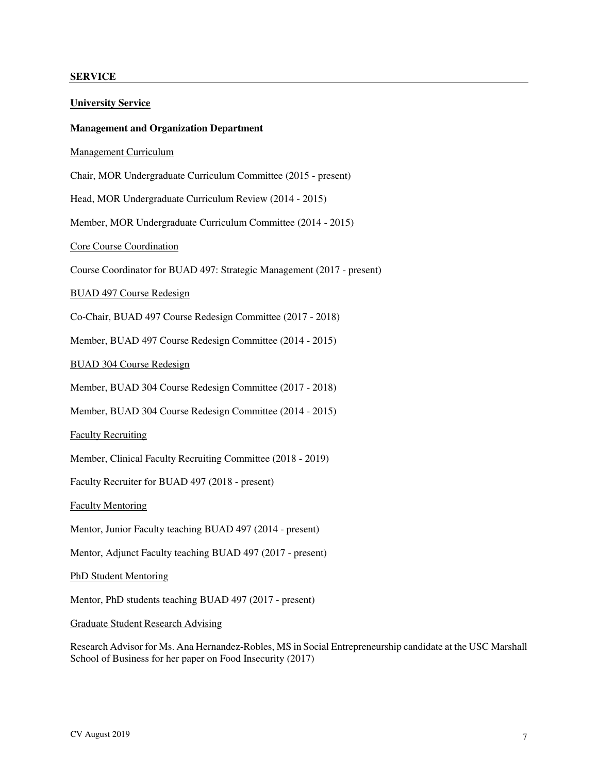# **SERVICE**

| <b>University Service</b>                                                                                                                                                |
|--------------------------------------------------------------------------------------------------------------------------------------------------------------------------|
| <b>Management and Organization Department</b>                                                                                                                            |
| <b>Management Curriculum</b>                                                                                                                                             |
| Chair, MOR Undergraduate Curriculum Committee (2015 - present)                                                                                                           |
| Head, MOR Undergraduate Curriculum Review (2014 - 2015)                                                                                                                  |
| Member, MOR Undergraduate Curriculum Committee (2014 - 2015)                                                                                                             |
| <b>Core Course Coordination</b>                                                                                                                                          |
| Course Coordinator for BUAD 497: Strategic Management (2017 - present)                                                                                                   |
| <b>BUAD 497 Course Redesign</b>                                                                                                                                          |
| Co-Chair, BUAD 497 Course Redesign Committee (2017 - 2018)                                                                                                               |
| Member, BUAD 497 Course Redesign Committee (2014 - 2015)                                                                                                                 |
| <b>BUAD 304 Course Redesign</b>                                                                                                                                          |
| Member, BUAD 304 Course Redesign Committee (2017 - 2018)                                                                                                                 |
| Member, BUAD 304 Course Redesign Committee (2014 - 2015)                                                                                                                 |
| <b>Faculty Recruiting</b>                                                                                                                                                |
| Member, Clinical Faculty Recruiting Committee (2018 - 2019)                                                                                                              |
| Faculty Recruiter for BUAD 497 (2018 - present)                                                                                                                          |
| <b>Faculty Mentoring</b>                                                                                                                                                 |
| Mentor, Junior Faculty teaching BUAD 497 (2014 - present)                                                                                                                |
| Mentor, Adjunct Faculty teaching BUAD 497 (2017 - present)                                                                                                               |
| <b>PhD Student Mentoring</b>                                                                                                                                             |
| Mentor, PhD students teaching BUAD 497 (2017 - present)                                                                                                                  |
| <b>Graduate Student Research Advising</b>                                                                                                                                |
| Research Advisor for Ms. Ana Hernandez-Robles, MS in Social Entrepreneurship candidate at the USC Marshall<br>School of Business for her paper on Food Insecurity (2017) |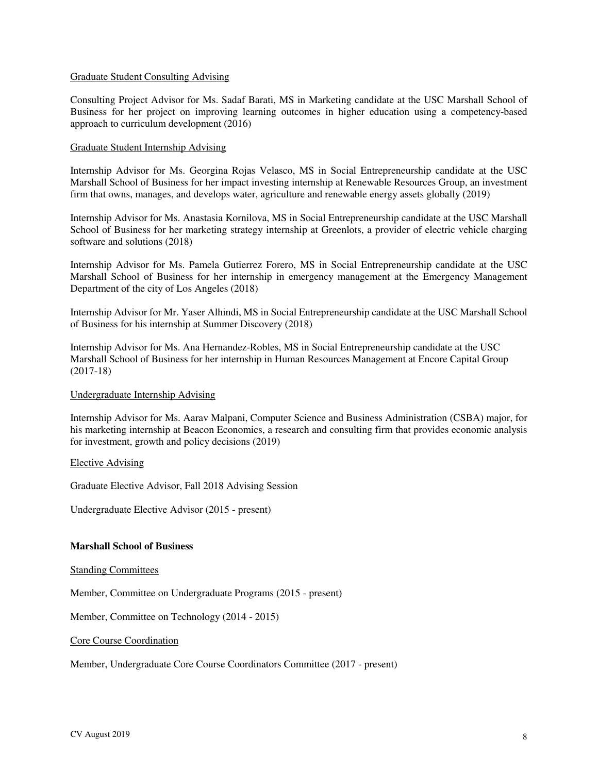#### Graduate Student Consulting Advising

Consulting Project Advisor for Ms. Sadaf Barati, MS in Marketing candidate at the USC Marshall School of Business for her project on improving learning outcomes in higher education using a competency-based approach to curriculum development (2016)

## Graduate Student Internship Advising

Internship Advisor for Ms. Georgina Rojas Velasco, MS in Social Entrepreneurship candidate at the USC Marshall School of Business for her impact investing internship at Renewable Resources Group, an investment firm that owns, manages, and develops water, agriculture and renewable energy assets globally (2019)

Internship Advisor for Ms. Anastasia Kornilova, MS in Social Entrepreneurship candidate at the USC Marshall School of Business for her marketing strategy internship at Greenlots, a provider of electric vehicle charging software and solutions (2018)

Internship Advisor for Ms. Pamela Gutierrez Forero, MS in Social Entrepreneurship candidate at the USC Marshall School of Business for her internship in emergency management at the Emergency Management Department of the city of Los Angeles (2018)

Internship Advisor for Mr. Yaser Alhindi, MS in Social Entrepreneurship candidate at the USC Marshall School of Business for his internship at Summer Discovery (2018)

Internship Advisor for Ms. Ana Hernandez-Robles, MS in Social Entrepreneurship candidate at the USC Marshall School of Business for her internship in Human Resources Management at Encore Capital Group (2017-18)

## Undergraduate Internship Advising

Internship Advisor for Ms. Aarav Malpani, Computer Science and Business Administration (CSBA) major, for his marketing internship at Beacon Economics, a research and consulting firm that provides economic analysis for investment, growth and policy decisions (2019)

#### Elective Advising

Graduate Elective Advisor, Fall 2018 Advising Session

Undergraduate Elective Advisor (2015 - present)

#### **Marshall School of Business**

#### Standing Committees

Member, Committee on Undergraduate Programs (2015 - present)

Member, Committee on Technology (2014 - 2015)

#### Core Course Coordination

Member, Undergraduate Core Course Coordinators Committee (2017 - present)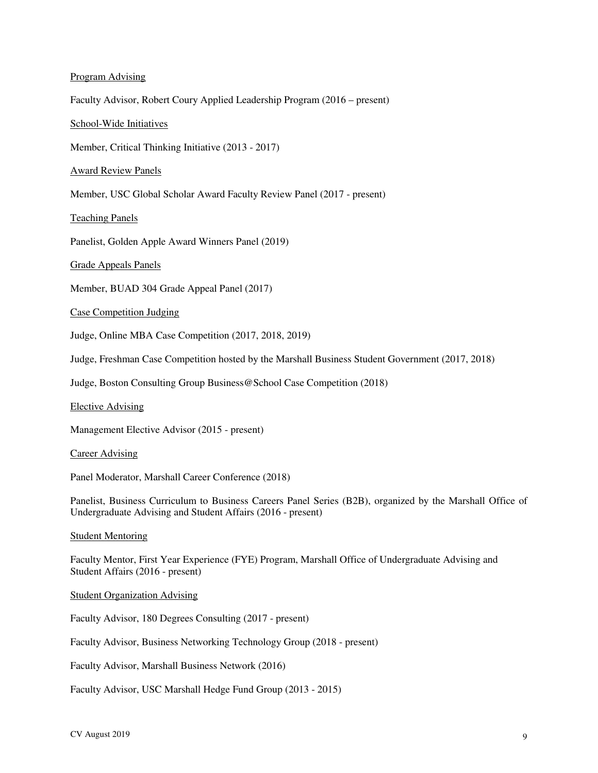## Program Advising

Faculty Advisor, Robert Coury Applied Leadership Program (2016 – present)

School-Wide Initiatives

Member, Critical Thinking Initiative (2013 - 2017)

Award Review Panels

Member, USC Global Scholar Award Faculty Review Panel (2017 - present)

Teaching Panels

Panelist, Golden Apple Award Winners Panel (2019)

Grade Appeals Panels

Member, BUAD 304 Grade Appeal Panel (2017)

Case Competition Judging

Judge, Online MBA Case Competition (2017, 2018, 2019)

Judge, Freshman Case Competition hosted by the Marshall Business Student Government (2017, 2018)

Judge, Boston Consulting Group Business@School Case Competition (2018)

Elective Advising

Management Elective Advisor (2015 - present)

Career Advising

Panel Moderator, Marshall Career Conference (2018)

Panelist, Business Curriculum to Business Careers Panel Series (B2B), organized by the Marshall Office of Undergraduate Advising and Student Affairs (2016 - present)

Student Mentoring

Faculty Mentor, First Year Experience (FYE) Program, Marshall Office of Undergraduate Advising and Student Affairs (2016 - present)

Student Organization Advising

Faculty Advisor, 180 Degrees Consulting (2017 - present)

Faculty Advisor, Business Networking Technology Group (2018 - present)

Faculty Advisor, Marshall Business Network (2016)

Faculty Advisor, USC Marshall Hedge Fund Group (2013 - 2015)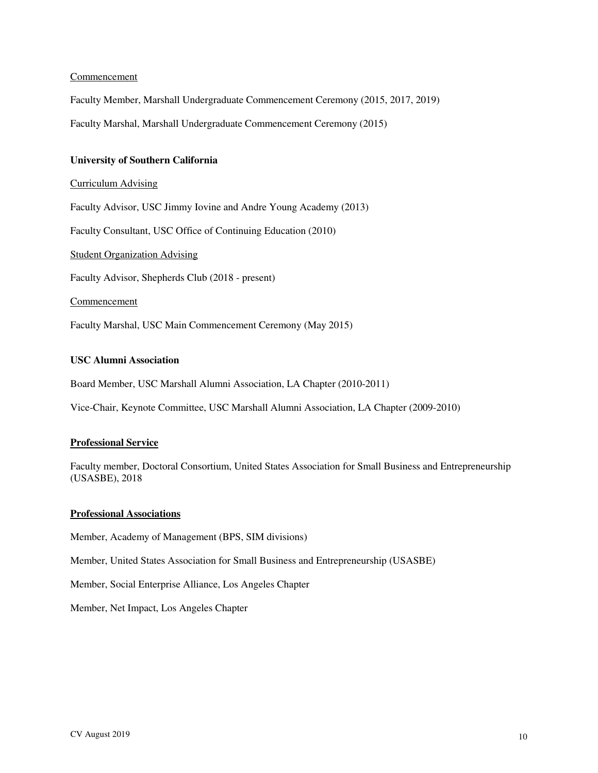## Commencement

Faculty Member, Marshall Undergraduate Commencement Ceremony (2015, 2017, 2019) Faculty Marshal, Marshall Undergraduate Commencement Ceremony (2015)

# **University of Southern California**

## Curriculum Advising

Faculty Advisor, USC Jimmy Iovine and Andre Young Academy (2013)

Faculty Consultant, USC Office of Continuing Education (2010)

Student Organization Advising

Faculty Advisor, Shepherds Club (2018 - present)

Commencement

Faculty Marshal, USC Main Commencement Ceremony (May 2015)

# **USC Alumni Association**

Board Member, USC Marshall Alumni Association, LA Chapter (2010-2011)

Vice-Chair, Keynote Committee, USC Marshall Alumni Association, LA Chapter (2009-2010)

## **Professional Service**

Faculty member, Doctoral Consortium, United States Association for Small Business and Entrepreneurship (USASBE), 2018

## **Professional Associations**

Member, Academy of Management (BPS, SIM divisions)

Member, United States Association for Small Business and Entrepreneurship (USASBE)

Member, Social Enterprise Alliance, Los Angeles Chapter

Member, Net Impact, Los Angeles Chapter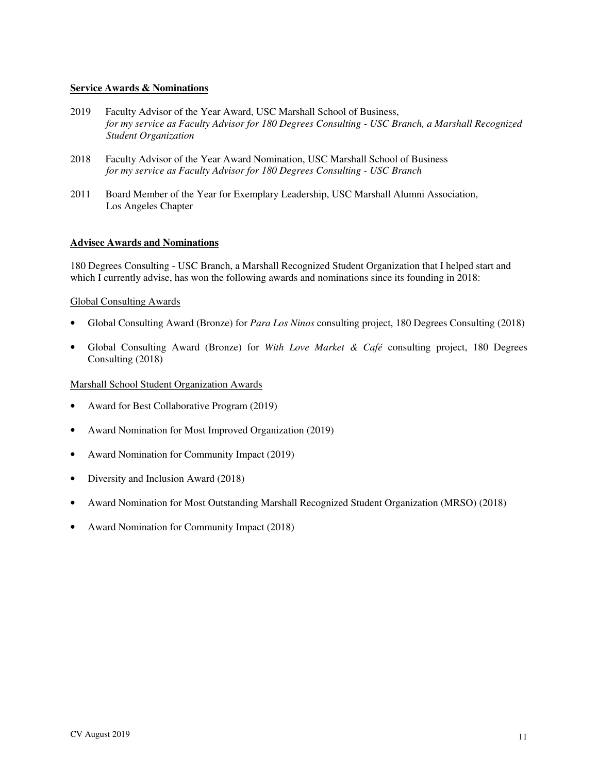## **Service Awards & Nominations**

- 2019 Faculty Advisor of the Year Award, USC Marshall School of Business, *for my service as Faculty Advisor for 180 Degrees Consulting - USC Branch, a Marshall Recognized Student Organization*
- 2018 Faculty Advisor of the Year Award Nomination, USC Marshall School of Business *for my service as Faculty Advisor for 180 Degrees Consulting - USC Branch*
- 2011 Board Member of the Year for Exemplary Leadership, USC Marshall Alumni Association, Los Angeles Chapter

# **Advisee Awards and Nominations**

180 Degrees Consulting - USC Branch, a Marshall Recognized Student Organization that I helped start and which I currently advise, has won the following awards and nominations since its founding in 2018:

## Global Consulting Awards

- Global Consulting Award (Bronze) for *Para Los Ninos* consulting project, 180 Degrees Consulting (2018)
- Global Consulting Award (Bronze) for *With Love Market & Café* consulting project, 180 Degrees Consulting (2018)

# Marshall School Student Organization Awards

- Award for Best Collaborative Program (2019)
- Award Nomination for Most Improved Organization (2019)
- Award Nomination for Community Impact (2019)
- Diversity and Inclusion Award (2018)
- Award Nomination for Most Outstanding Marshall Recognized Student Organization (MRSO) (2018)
- Award Nomination for Community Impact (2018)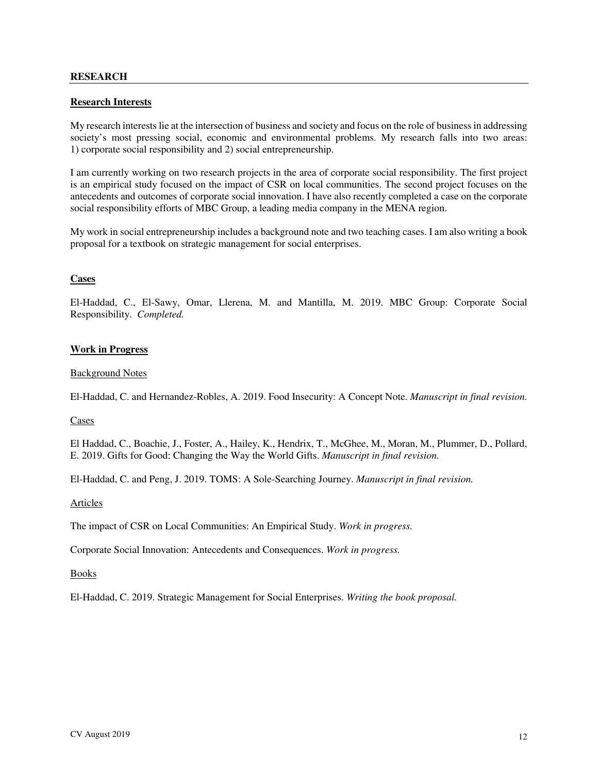## **RESEARCH**

## **Research Interests**

My research interests lie at the intersection of business and society and focus on the role of business in addressing society's most pressing social, economic and environmental problems. My research falls into two areas: 1) corporate social responsibility and 2) social entrepreneurship.

I am currently working on two research projects in the area of corporate social responsibility. The first project is an empirical study focused on the impact of CSR on local communities. The second project focuses on the antecedents and outcomes of corporate social innovation. I have also recently completed a case on the corporate social responsibility efforts of MBC Group, a leading media company in the MENA region.

My work in social entrepreneurship includes a background note and two teaching cases. I am also writing a book proposal for a textbook on strategic management for social enterprises.

## **Cases**

El-Haddad, C., El-Sawy, Omar, Llerena, M. and Mantilla, M. 2019. MBC Group: Corporate Social Responsibility. *Completed.* 

# **Work in Progress**

## Background Notes

El-Haddad, C. and Hernandez-Robles, A. 2019. Food Insecurity: A Concept Note. *Manuscript in final revision.*

Cases

El Haddad, C., Boachie, J., Foster, A., Hailey, K., Hendrix, T., McGhee, M., Moran, M., Plummer, D., Pollard, E. 2019. Gifts for Good: Changing the Way the World Gifts. *Manuscript in final revision.*

El-Haddad, C. and Peng, J. 2019. TOMS: A Sole-Searching Journey. *Manuscript in final revision.*

## Articles

The impact of CSR on Local Communities: An Empirical Study. *Work in progress.*

Corporate Social Innovation: Antecedents and Consequences. *Work in progress.*

## Books

El-Haddad, C. 2019. Strategic Management for Social Enterprises. *Writing the book proposal.*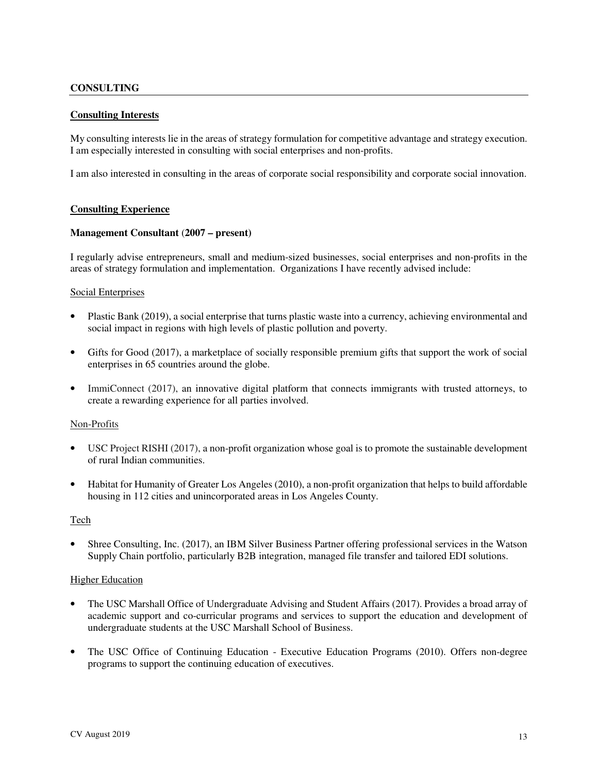# **CONSULTING**

# **Consulting Interests**

My consulting interests lie in the areas of strategy formulation for competitive advantage and strategy execution. I am especially interested in consulting with social enterprises and non-profits.

I am also interested in consulting in the areas of corporate social responsibility and corporate social innovation.

## **Consulting Experience**

#### **Management Consultant** (**2007 – present)**

I regularly advise entrepreneurs, small and medium-sized businesses, social enterprises and non-profits in the areas of strategy formulation and implementation. Organizations I have recently advised include:

#### Social Enterprises

- Plastic Bank (2019), a social enterprise that turns plastic waste into a currency, achieving environmental and social impact in regions with high levels of plastic pollution and poverty.
- Gifts for Good (2017), a marketplace of socially responsible premium gifts that support the work of social enterprises in 65 countries around the globe.
- ImmiConnect (2017), an innovative digital platform that connects immigrants with trusted attorneys, to create a rewarding experience for all parties involved.

## Non-Profits

- USC Project RISHI (2017), a non-profit organization whose goal is to promote the sustainable development of rural Indian communities.
- Habitat for Humanity of Greater Los Angeles (2010), a non-profit organization that helps to build affordable housing in 112 cities and unincorporated areas in Los Angeles County.

# Tech

• Shree Consulting, Inc. (2017), an IBM Silver Business Partner offering professional services in the Watson Supply Chain portfolio, particularly B2B integration, managed file transfer and tailored EDI solutions.

#### **Higher Education**

- The USC Marshall Office of Undergraduate Advising and Student Affairs (2017). Provides a broad array of academic support and co-curricular programs and services to support the education and development of undergraduate students at the USC Marshall School of Business.
- The USC Office of Continuing Education Executive Education Programs (2010). Offers non-degree programs to support the continuing education of executives.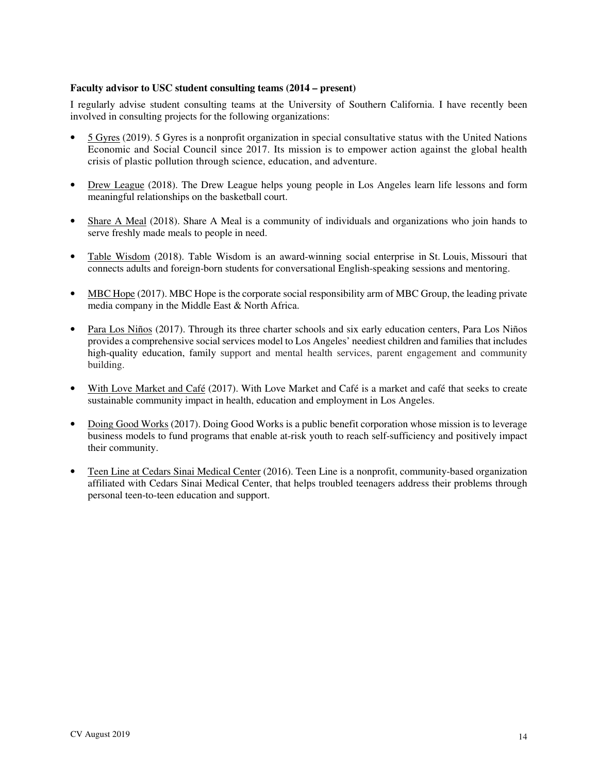## **Faculty advisor to USC student consulting teams (2014 – present)**

I regularly advise student consulting teams at the University of Southern California. I have recently been involved in consulting projects for the following organizations:

- 5 Gyres (2019). 5 Gyres is a nonprofit organization in special consultative status with the United Nations Economic and Social Council since 2017. Its mission is to empower action against the global health crisis of plastic pollution through science, education, and adventure.
- Drew League (2018). The Drew League helps young people in Los Angeles learn life lessons and form meaningful relationships on the basketball court.
- Share A Meal (2018). Share A Meal is a community of individuals and organizations who join hands to serve freshly made meals to people in need.
- Table Wisdom (2018). Table Wisdom is an award-winning social enterprise in St. Louis, Missouri that connects adults and foreign-born students for conversational English-speaking sessions and mentoring.
- MBC Hope (2017). MBC Hope is the corporate social responsibility arm of MBC Group, the leading private media company in the Middle East & North Africa.
- Para Los Niños (2017). Through its three charter schools and six early education centers, Para Los Niños provides a comprehensive social services model to Los Angeles' neediest children and families that includes high-quality education, family support and mental health services, parent engagement and community building.
- With Love Market and Café (2017). With Love Market and Café is a market and café that seeks to create sustainable community impact in health, education and employment in Los Angeles.
- Doing Good Works (2017). Doing Good Works is a public benefit corporation whose mission is to leverage business models to fund programs that enable at-risk youth to reach self-sufficiency and positively impact their community.
- Teen Line at Cedars Sinai Medical Center (2016). Teen Line is a nonprofit, community-based organization affiliated with Cedars Sinai Medical Center, that helps troubled teenagers address their problems through personal teen-to-teen education and support.